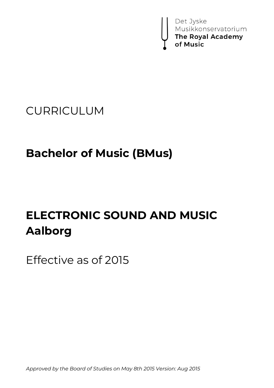

## CURRICULUM

# **Bachelor of Music (BMus)**

# **ELECTRONIC SOUND AND MUSIC Aalborg**

Effective as of 2015

*Approved by the Board of Studies on May 8th 2015 Version: Aug 2015*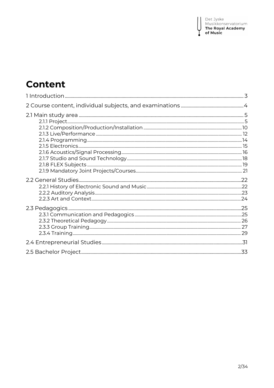I

## **Content**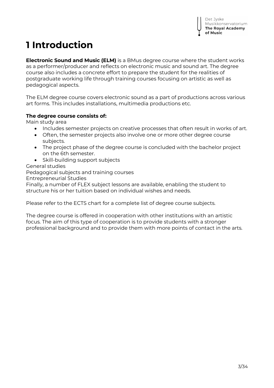## **1 Introduction**

**Electronic Sound and Music (ELM)** is a BMus degree course where the student works as a performer/producer and reflects on electronic music and sound art. The degree course also includes a concrete effort to prepare the student for the realities of postgraduate working life through training courses focusing on artistic as well as pedagogical aspects.

The ELM degree course covers electronic sound as a part of productions across various art forms. This includes installations, multimedia productions etc.

#### **The degree course consists of:**

Main study area

- Includes semester projects on creative processes that often result in works of art.
- Often, the semester projects also involve one or more other degree course subjects.
- The project phase of the degree course is concluded with the bachelor project on the 6th semester.
- Skill-building support subjects

General studies

Pedagogical subjects and training courses

Entrepreneurial Studies

Finally, a number of FLEX subject lessons are available, enabling the student to structure his or her tuition based on individual wishes and needs.

Please refer to the ECTS chart for a complete list of degree course subjects.

The degree course is offered in cooperation with other institutions with an artistic focus. The aim of this type of cooperation is to provide students with a stronger professional background and to provide them with more points of contact in the arts.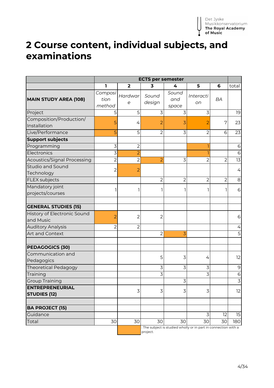## **2 Course content, individual subjects, and examinations**

|                                               | <b>ECTS per semester</b>  |                |                 |                       |                                                                 |                |                |
|-----------------------------------------------|---------------------------|----------------|-----------------|-----------------------|-----------------------------------------------------------------|----------------|----------------|
|                                               | 1                         | $\mathbf{2}$   | 3               | 4                     | 5                                                               | 6              | total          |
| <b>MAIN STUDY AREA (108)</b>                  | Composi<br>tion<br>method | Hardwar<br>e   | Sound<br>design | Sound<br>and<br>space | <i>Interacti</i><br>on                                          | BA             |                |
| Project                                       | 5                         | 5              | 3               | 3                     | 3                                                               |                | 19             |
| Composition/Production/<br>Installation       | 5                         | 4              | 2               | 3                     | 2                                                               | 7              | 23             |
| Live/Performance                              | 5                         | 5              | $\overline{2}$  | 3                     | 2                                                               | 6              | 23             |
| <b>Support subjects</b>                       |                           |                |                 |                       |                                                                 |                |                |
| Programming                                   | 3                         | $\overline{2}$ |                 |                       |                                                                 |                | 6              |
| Electronics                                   | $\overline{3}$            | $\overline{2}$ |                 |                       | ٦                                                               |                | 6              |
| <b>Acoustics/Signal Processing</b>            | $\overline{2}$            | $\overline{2}$ | $\overline{2}$  | 3                     | $\overline{2}$                                                  | $\overline{2}$ | 13             |
| Studio and Sound<br>Technology                | $\overline{2}$            | 2              |                 |                       |                                                                 |                | 4              |
| <b>FLEX subjects</b>                          |                           |                | 2               | $\overline{2}$        | $\overline{2}$                                                  | 2              | 8              |
| Mandatory joint<br>projects/courses           |                           |                |                 |                       | ı                                                               |                | 6              |
| <b>GENERAL STUDIES (15)</b>                   |                           |                |                 |                       |                                                                 |                |                |
| History of Electronic Sound<br>and Music      | $\overline{2}$            | $\overline{2}$ | $\overline{2}$  |                       |                                                                 |                | 6              |
| <b>Auditory Analysis</b>                      | $\overline{2}$            | $\overline{2}$ |                 |                       |                                                                 |                | 4              |
| Art and Context                               |                           |                | $\overline{2}$  | 3                     |                                                                 |                | 5              |
| <b>PEDAGOGICS (30)</b>                        |                           |                |                 |                       |                                                                 |                |                |
| Communication and<br>Pedagogics               |                           |                | 5               | 3                     | 4                                                               |                | 12             |
| <b>Theoretical Pedagogy</b>                   |                           |                | 3               | 3                     | 3                                                               |                | 9              |
| Training                                      |                           |                | 3               |                       | 3                                                               |                | 6              |
| <b>Group Training</b>                         |                           |                |                 | 3                     |                                                                 |                | $\overline{3}$ |
| <b>ENTREPRENEURIAL</b><br><b>STUDIES (12)</b> |                           | 3              | 3               | 3                     | 3                                                               |                | 12             |
| <b>BA PROJECT (15)</b>                        |                           |                |                 |                       |                                                                 |                |                |
| Guidance                                      |                           |                |                 |                       | 3                                                               | 12             | 15             |
| Total                                         | 30                        | 30             | 30              | 30                    | 30                                                              | 30             | 180            |
|                                               |                           |                | project.        |                       | : The subject is studied wholly or in part in connection with a |                |                |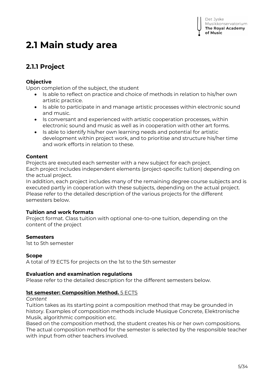## **2.1 Main study area**

## **2.1.1 Project**

#### **Objective**

Upon completion of the subject, the student

- Is able to reflect on practice and choice of methods in relation to his/her own artistic practice.
- Is able to participate in and manage artistic processes within electronic sound and music.
- Is conversant and experienced with artistic cooperation processes, within electronic sound and music as well as in cooperation with other art forms.
- Is able to identify his/her own learning needs and potential for artistic development within project work, and to prioritise and structure his/her time and work efforts in relation to these.

#### **Content**

Projects are executed each semester with a new subject for each project. Each project includes independent elements (project-specific tuition) depending on the actual project.

In addition, each project includes many of the remaining degree course subjects and is executed partly in cooperation with these subjects, depending on the actual project. Please refer to the detailed description of the various projects for the different semesters below.

#### **Tuition and work formats**

Project format. Class tuition with optional one-to-one tuition, depending on the content of the project

#### **Semesters**

1st to 5th semester

#### **Scope**

A total of 19 ECTS for projects on the 1st to the 5th semester

#### **Evaluation and examination regulations**

Please refer to the detailed description for the different semesters below.

#### **1st semester: Composition Method.** 5 ECTS

*Content*

Tuition takes as its starting point a composition method that may be grounded in history. Examples of composition methods include Musique Concrete, Elektronische Musik, algorithmic composition etc.

Based on the composition method, the student creates his or her own compositions. The actual composition method for the semester is selected by the responsible teacher with input from other teachers involved.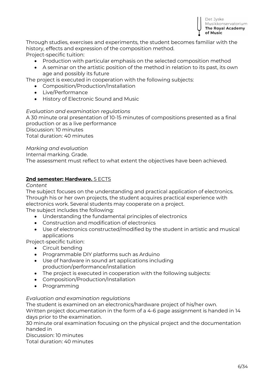Through studies, exercises and experiments, the student becomes familiar with the history, effects and expression of the composition method. Project-specific tuition:

• Production with particular emphasis on the selected composition method

 A seminar on the artistic position of the method in relation to its past, its own age and possibly its future

The project is executed in cooperation with the following subjects:

- Composition/Production/Installation
- Live/Performance
- **•** History of Flectronic Sound and Music

#### *Evaluation and examination regulations*

A 30 minute oral presentation of 10-15 minutes of compositions presented as a final production or as a live performance Discussion: 10 minutes Total duration: 40 minutes

#### *Marking and evaluation*

Internal marking. Grade.

The assessment must reflect to what extent the objectives have been achieved.

#### **2nd semester: Hardware.** 5 ECTS

#### *Content*

The subject focuses on the understanding and practical application of electronics. Through his or her own projects, the student acquires practical experience with electronics work. Several students may cooperate on a project. The subject includes the following:

- Understanding the fundamental principles of electronics
- Construction and modification of electronics
- Use of electronics constructed/modified by the student in artistic and musical applications

Project-specific tuition:

- Circuit bending
- Programmable DIY platforms such as Arduino
- Use of hardware in sound art applications including production/performance/installation
- The project is executed in cooperation with the following subjects:
- Composition/Production/Installation
- Programming

#### *Evaluation and examination regulations*

The student is examined on an electronics/hardware project of his/her own.

Written project documentation in the form of a 4-6 page assignment is handed in 14 days prior to the examination.

30 minute oral examination focusing on the physical project and the documentation handed in

Discussion: 10 minutes

Total duration: 40 minutes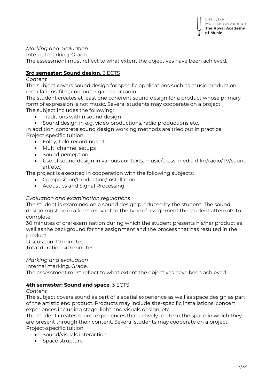*Marking and evaluation*

Internal marking. Grade.

The assessment must reflect to what extent the objectives have been achieved.

#### **3rd semester: Sound design.** 3 ECTS

*Content*

The subject covers sound design for specific applications such as music production, installations, film, computer games or radio.

The student creates at least one coherent sound design for a product whose primary form of expression is not music. Several students may cooperate on a project. The subject includes the following:

- Traditions within sound design
- Sound design in e.g. video productions, radio productions etc.

In addition, concrete sound design working methods are tried out in practice. Project-specific tuition:

- Foley, field recordings etc.
- Multi channel setups
- Sound perception
- Use of sound design in various contexts: music/cross-media (film/radio/TV/sound art etc.)

The project is executed in cooperation with the following subjects:

- Composition/Production/Installation
- Acoustics and Signal Processing

#### *Evaluation and examination regulations*

The student is examined on a sound design produced by the student. The sound design must be in a form relevant to the type of assignment the student attempts to complete.

30 minutes of oral examination during which the student presents his/her product as well as the background for the assignment and the process that has resulted in the product

Discussion: 10 minutes Total duration: 40 minutes

#### *Marking and evaluation*

Internal marking. Grade.

The assessment must reflect to what extent the objectives have been achieved.

#### **4th semester: Sound and space**. 3 ECTS

#### *Content*

The subject covers sound as part of a spatial experience as well as space design as part of the artistic end product. Products may include site-specific installations, concert experiences including stage, light and visuals design, etc.

The student creates sound experiences that actively relate to the space in which they are present through their content. Several students may cooperate on a project. Project-specific tuition:

- Sound/visuals interaction
- Space structure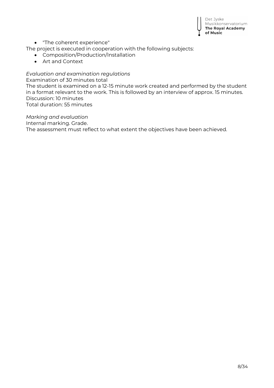

"The coherent experience"

The project is executed in cooperation with the following subjects:

- Composition/Production/Installation
- Art and Context

#### *Evaluation and examination regulations*

Examination of 30 minutes total

The student is examined on a 12-15 minute work created and performed by the student in a format relevant to the work. This is followed by an interview of approx. 15 minutes. Discussion: 10 minutes

Total duration: 55 minutes

*Marking and evaluation*

Internal marking. Grade.

The assessment must reflect to what extent the objectives have been achieved.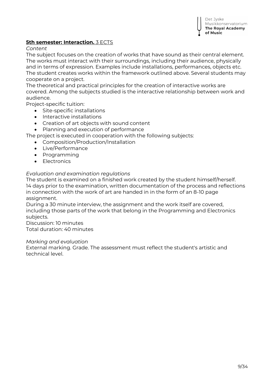#### **5th semester: Interaction.** 3 ECTS

#### *Content*

The subject focuses on the creation of works that have sound as their central element. The works must interact with their surroundings, including their audience, physically and in terms of expression. Examples include installations, performances, objects etc. The student creates works within the framework outlined above. Several students may cooperate on a project.

The theoretical and practical principles for the creation of interactive works are covered. Among the subjects studied is the interactive relationship between work and audience.

Project-specific tuition:

- Site-specific installations
- Interactive installations
- Creation of art objects with sound content
- Planning and execution of performance
- The project is executed in cooperation with the following subjects:
	- Composition/Production/Installation
	- Live/Performance
	- Programming
	- Electronics

#### *Evaluation and examination regulations*

The student is examined on a finished work created by the student himself/herself. 14 days prior to the examination, written documentation of the process and reflections in connection with the work of art are handed in in the form of an 8-10 page assignment.

During a 30 minute interview, the assignment and the work itself are covered, including those parts of the work that belong in the Programming and Electronics subjects.

Discussion: 10 minutes Total duration: 40 minutes

#### *Marking and evaluation*

External marking. Grade. The assessment must reflect the student's artistic and technical level.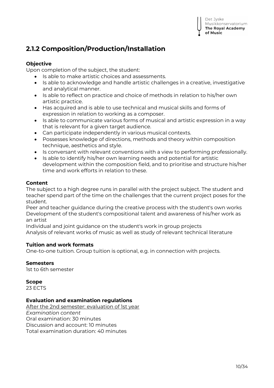## **2.1.2 Composition/Production/Installation**

#### **Objective**

Upon completion of the subject, the student:

- Is able to make artistic choices and assessments.
- Is able to acknowledge and handle artistic challenges in a creative, investigative and analytical manner.
- Is able to reflect on practice and choice of methods in relation to his/her own artistic practice.
- Has acquired and is able to use technical and musical skills and forms of expression in relation to working as a composer.
- Is able to communicate various forms of musical and artistic expression in a way that is relevant for a given target audience.
- Can participate independently in various musical contexts.
- Possesses knowledge of directions, methods and theory within composition technique, aesthetics and style.
- Is conversant with relevant conventions with a view to performing professionally.
- Is able to identify his/her own learning needs and potential for artistic development within the composition field, and to prioritise and structure his/her time and work efforts in relation to these.

#### **Content**

The subject to a high degree runs in parallel with the project subject. The student and teacher spend part of the time on the challenges that the current project poses for the student.

Peer and teacher guidance during the creative process with the student's own works Development of the student's compositional talent and awareness of his/her work as an artist

Individual and joint guidance on the student's work in group projects Analysis of relevant works of music as well as study of relevant technical literature

#### **Tuition and work formats**

One-to-one tuition. Group tuition is optional, e.g. in connection with projects.

#### **Semesters**

1st to 6th semester

#### **Scope**

23 ECTS

#### **Evaluation and examination regulations**

After the 2nd semester: evaluation of 1st year *Examination content* Oral examination: 30 minutes Discussion and account: 10 minutes Total examination duration: 40 minutes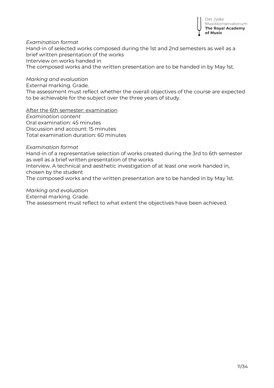

*Examination format* Hand-in of selected works composed during the 1st and 2nd semesters as well as a brief written presentation of the works Interview on works handed in

The composed works and the written presentation are to be handed in by May 1st.

#### *Marking and evaluation*

External marking. Grade.

The assessment must reflect whether the overall objectives of the course are expected to be achievable for the subject over the three years of study.

After the 6th semester: examination

*Examination content* Oral examination: 45 minutes Discussion and account: 15 minutes Total examination duration: 60 minutes

*Examination format*

Hand-in of a representative selection of works created during the 3rd to 6th semester as well as a brief written presentation of the works Interview. A technical and aesthetic investigation of at least one work handed in, chosen by the student

The composed works and the written presentation are to be handed in by May 1st.

#### *Marking and evaluation*

External marking. Grade.

The assessment must reflect to what extent the objectives have been achieved.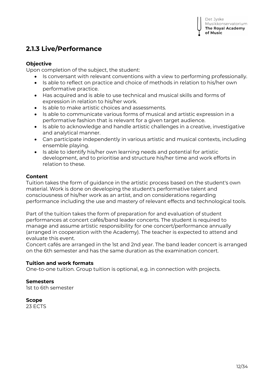### **2.1.3 Live/Performance**

#### **Objective**

Upon completion of the subject, the student:

- Is conversant with relevant conventions with a view to performing professionally.
- Is able to reflect on practice and choice of methods in relation to his/her own performative practice.
- Has acquired and is able to use technical and musical skills and forms of expression in relation to his/her work.
- Is able to make artistic choices and assessments.
- Is able to communicate various forms of musical and artistic expression in a performative fashion that is relevant for a given target audience.
- Is able to acknowledge and handle artistic challenges in a creative, investigative and analytical manner.
- Can participate independently in various artistic and musical contexts, including ensemble playing.
- Is able to identify his/her own learning needs and potential for artistic development, and to prioritise and structure his/her time and work efforts in relation to these.

#### **Content**

Tuition takes the form of guidance in the artistic process based on the student's own material. Work is done on developing the student's performative talent and consciousness of his/her work as an artist, and on considerations regarding performance including the use and mastery of relevant effects and technological tools.

Part of the tuition takes the form of preparation for and evaluation of student performances at concert cafés/band leader concerts. The student is required to manage and assume artistic responsibility for one concert/performance annually (arranged in cooperation with the Academy). The teacher is expected to attend and evaluate this event.

Concert cafés are arranged in the 1st and 2nd year. The band leader concert is arranged on the 6th semester and has the same duration as the examination concert.

#### **Tuition and work formats**

One-to-one tuition. Group tuition is optional, e.g. in connection with projects.

#### **Semesters**

1st to 6th semester

#### **Scope**

23 ECTS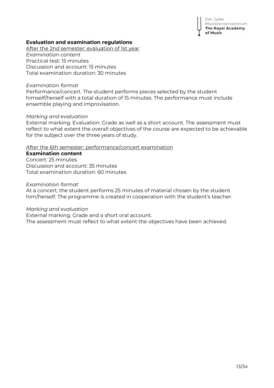Det Jyske Musikkonservatorium The Royal Academy of Music

#### **Evaluation and examination regulations**

After the 2nd semester: evaluation of 1st year *Examination content* Practical test: 15 minutes Discussion and account: 15 minutes Total examination duration: 30 minutes

#### *Examination format*

Performance/concert. The student performs pieces selected by the student himself/herself with a total duration of 15 minutes. The performance must include ensemble playing and improvisation.

#### *Marking and evaluation*

External marking. Evaluation: Grade as well as a short account. The assessment must reflect to what extent the overall objectives of the course are expected to be achievable for the subject over the three years of study.

#### After the 6th semester: performance/concert examination

#### **Examination content**

Concert: 25 minutes Discussion and account: 35 minutes Total examination duration: 60 minutes

#### *Examination format*

At a concert, the student performs 25 minutes of material chosen by the student him/herself. The programme is created in cooperation with the student's teacher.

#### *Marking and evaluation*

External marking. Grade and a short oral account. The assessment must reflect to what extent the objectives have been achieved.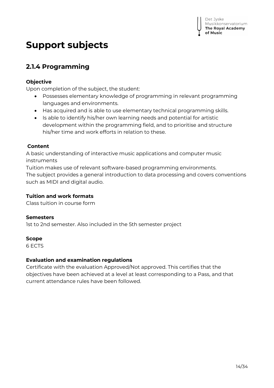## **Support subjects**

## **2.1.4 Programming**

#### **Objective**

Upon completion of the subject, the student:

- Possesses elementary knowledge of programming in relevant programming languages and environments.
- Has acquired and is able to use elementary technical programming skills.
- Is able to identify his/her own learning needs and potential for artistic development within the programming field, and to prioritise and structure his/her time and work efforts in relation to these.

#### **Content**

A basic understanding of interactive music applications and computer music instruments

Tuition makes use of relevant software-based programming environments.

The subject provides a general introduction to data processing and covers conventions such as MIDI and digital audio.

#### **Tuition and work formats**

Class tuition in course form

#### **Semesters**

1st to 2nd semester. Also included in the 5th semester project

#### **Scope**

6 ECTS

#### **Evaluation and examination regulations**

Certificate with the evaluation Approved/Not approved. This certifies that the objectives have been achieved at a level at least corresponding to a Pass, and that current attendance rules have been followed.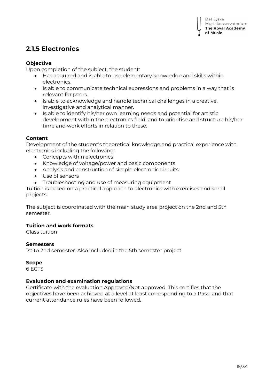### **2.1.5 Electronics**

#### **Objective**

Upon completion of the subject, the student:

- Has acquired and is able to use elementary knowledge and skills within electronics.
- Is able to communicate technical expressions and problems in a way that is relevant for peers.
- Is able to acknowledge and handle technical challenges in a creative, investigative and analytical manner.
- Is able to identify his/her own learning needs and potential for artistic development within the electronics field, and to prioritise and structure his/her time and work efforts in relation to these.

#### **Content**

Development of the student's theoretical knowledge and practical experience with electronics including the following:

- Concepts within electronics
- Knowledge of voltage/power and basic components
- Analysis and construction of simple electronic circuits
- Use of sensors
- Troubleshooting and use of measuring equipment

Tuition is based on a practical approach to electronics with exercises and small projects.

The subject is coordinated with the main study area project on the 2nd and 5th semester.

#### **Tuition and work formats**

Class tuition

#### **Semesters**

1st to 2nd semester. Also included in the 5th semester project

#### **Scope**

6 ECTS

#### **Evaluation and examination regulations**

Certificate with the evaluation Approved/Not approved. This certifies that the objectives have been achieved at a level at least corresponding to a Pass, and that current attendance rules have been followed.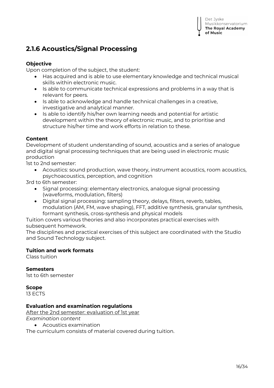### **2.1.6 Acoustics/Signal Processing**

#### **Objective**

Upon completion of the subject, the student:

- Has acquired and is able to use elementary knowledge and technical musical skills within electronic music.
- Is able to communicate technical expressions and problems in a way that is relevant for peers.
- Is able to acknowledge and handle technical challenges in a creative, investigative and analytical manner.
- Is able to identify his/her own learning needs and potential for artistic development within the theory of electronic music, and to prioritise and structure his/her time and work efforts in relation to these.

#### **Content**

Development of student understanding of sound, acoustics and a series of analogue and digital signal processing techniques that are being used in electronic music production

1st to 2nd semester:

 Acoustics: sound production, wave theory, instrument acoustics, room acoustics, psychoacoustics, perception, and cognition

3rd to 6th semester:

- Signal processing: elementary electronics, analogue signal processing (waveforms, modulation, filters)
- Digital signal processing: sampling theory, delays, filters, reverb, tables, modulation (AM, FM, wave shaping), FFT, additive synthesis, granular synthesis, formant synthesis, cross-synthesis and physical models

Tuition covers various theories and also incorporates practical exercises with subsequent homework.

The disciplines and practical exercises of this subject are coordinated with the Studio and Sound Technology subject.

#### **Tuition and work formats**

Class tuition

#### **Semesters**

1st to 6th semester

#### **Scope**

13 ECTS

#### **Evaluation and examination regulations**

After the 2nd semester: evaluation of 1st year

*Examination content*

Acoustics examination

The curriculum consists of material covered during tuition.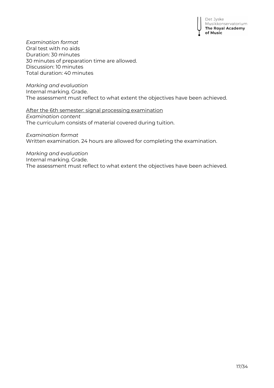Det Jyske Musikkonservatorium The Royal Academy of Music

*Examination format* Oral test with no aids Duration: 30 minutes 30 minutes of preparation time are allowed. Discussion: 10 minutes Total duration: 40 minutes

*Marking and evaluation*

Internal marking. Grade.

The assessment must reflect to what extent the objectives have been achieved.

After the 6th semester: signal processing examination *Examination content* The curriculum consists of material covered during tuition.

*Examination format* Written examination. 24 hours are allowed for completing the examination.

*Marking and evaluation* Internal marking. Grade. The assessment must reflect to what extent the objectives have been achieved.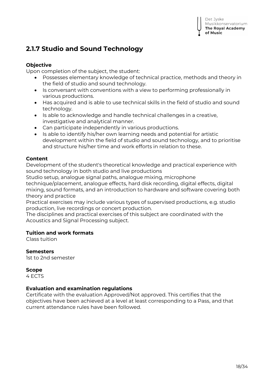## **2.1.7 Studio and Sound Technology**

#### **Objective**

Upon completion of the subject, the student:

- Possesses elementary knowledge of technical practice, methods and theory in the field of studio and sound technology.
- Is conversant with conventions with a view to performing professionally in various productions.
- Has acquired and is able to use technical skills in the field of studio and sound technology.
- Is able to acknowledge and handle technical challenges in a creative, investigative and analytical manner.
- Can participate independently in various productions.
- Is able to identify his/her own learning needs and potential for artistic development within the field of studio and sound technology, and to prioritise and structure his/her time and work efforts in relation to these.

#### **Content**

Development of the student's theoretical knowledge and practical experience with sound technology in both studio and live productions

Studio setup, analogue signal paths, analogue mixing, microphone technique/placement, analogue effects, hard disk recording, digital effects, digital

mixing, sound formats, and an introduction to hardware and software covering both theory and practice

Practical exercises may include various types of supervised productions, e.g. studio production, live recordings or concert production.

The disciplines and practical exercises of this subject are coordinated with the Acoustics and Signal Processing subject.

#### **Tuition and work formats**

Class tuition

**Semesters** 1st to 2nd semester

**Scope**

4 ECTS

#### **Evaluation and examination regulations**

Certificate with the evaluation Approved/Not approved. This certifies that the objectives have been achieved at a level at least corresponding to a Pass, and that current attendance rules have been followed.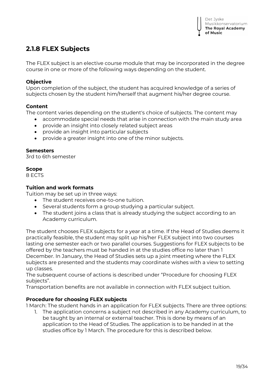### **2.1.8 FLEX Subjects**

The FLEX subject is an elective course module that may be incorporated in the degree course in one or more of the following ways depending on the student.

#### **Objective**

Upon completion of the subject, the student has acquired knowledge of a series of subjects chosen by the student him/herself that augment his/her degree course.

#### **Content**

The content varies depending on the student's choice of subjects. The content may

- accommodate special needs that arise in connection with the main study area
- provide an insight into closely related subject areas
- provide an insight into particular subjects
- provide a greater insight into one of the minor subjects.

#### **Semesters**

3rd to 6th semester

#### **Scope**

8 ECTS

#### **Tuition and work formats**

Tuition may be set up in three ways:

- The student receives one-to-one tuition.
- Several students form a group studying a particular subject.
- The student joins a class that is already studying the subject according to an Academy curriculum.

The student chooses FLEX subjects for a year at a time. If the Head of Studies deems it practically feasible, the student may split up his/her FLEX subject into two courses lasting one semester each or two parallel courses. Suggestions for FLEX subjects to be offered by the teachers must be handed in at the studies office no later than 1 December. In January, the Head of Studies sets up a joint meeting where the FLEX subjects are presented and the students may coordinate wishes with a view to setting up classes.

The subsequent course of actions is described under "Procedure for choosing FLEX subjects".

Transportation benefits are not available in connection with FLEX subject tuition.

#### **Procedure for choosing FLEX subjects**

1 March: The student hands in an application for FLEX subjects. There are three options:

1. The application concerns a subject not described in any Academy curriculum, to be taught by an internal or external teacher. This is done by means of an application to the Head of Studies. The application is to be handed in at the studies office by 1 March. The procedure for this is described below.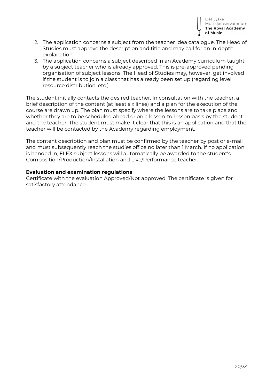

- 2. The application concerns a subject from the teacher idea catalogue. The Head of Studies must approve the description and title and may call for an in-depth explanation.
- 3. The application concerns a subject described in an Academy curriculum taught by a subject teacher who is already approved. This is pre-approved pending organisation of subject lessons. The Head of Studies may, however, get involved if the student is to join a class that has already been set up (regarding level, resource distribution, etc.).

The student initially contacts the desired teacher. In consultation with the teacher, a brief description of the content (at least six lines) and a plan for the execution of the course are drawn up. The plan must specify where the lessons are to take place and whether they are to be scheduled ahead or on a lesson-to-lesson basis by the student and the teacher. The student must make it clear that this is an application and that the teacher will be contacted by the Academy regarding employment.

The content description and plan must be confirmed by the teacher by post or e-mail and must subsequently reach the studies office no later than 1 March. If no application is handed in, FLEX subject lessons will automatically be awarded to the student's Composition/Production/Installation and Live/Performance teacher.

#### **Evaluation and examination regulations**

Certificate with the evaluation Approved/Not approved. The certificate is given for satisfactory attendance.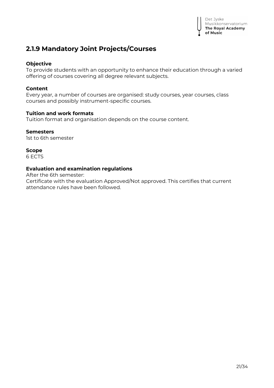

### **2.1.9 Mandatory Joint Projects/Courses**

#### **Objective**

To provide students with an opportunity to enhance their education through a varied offering of courses covering all degree relevant subjects.

#### **Content**

Every year, a number of courses are organised: study courses, year courses, class courses and possibly instrument-specific courses.

#### **Tuition and work formats**

Tuition format and organisation depends on the course content.

#### **Semesters**

1st to 6th semester

**Scope** 6 ECTS

#### **Evaluation and examination regulations**

After the 6th semester:

Certificate with the evaluation Approved/Not approved. This certifies that current attendance rules have been followed.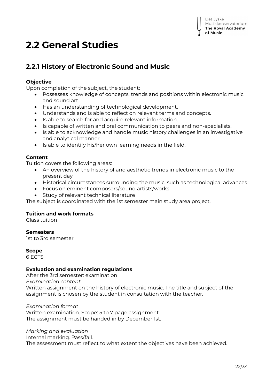## **2.2 General Studies**

## **2.2.1 History of Electronic Sound and Music**

#### **Objective**

Upon completion of the subject, the student:

- Possesses knowledge of concepts, trends and positions within electronic music and sound art.
- Has an understanding of technological development.
- Understands and is able to reflect on relevant terms and concepts.
- Is able to search for and acquire relevant information.
- Is capable of written and oral communication to peers and non-specialists.
- Is able to acknowledge and handle music history challenges in an investigative and analytical manner.
- Is able to identify his/her own learning needs in the field.

#### **Content**

Tuition covers the following areas:

- An overview of the history of and aesthetic trends in electronic music to the present day
- Historical circumstances surrounding the music, such as technological advances
- Focus on eminent composers/sound artists/works
- Study of relevant technical literature

The subject is coordinated with the 1st semester main study area project.

#### **Tuition and work formats**

Class tuition

#### **Semesters**

1st to 3rd semester

#### **Scope**

6 ECTS

#### **Evaluation and examination regulations**

After the 3rd semester: examination *Examination content* Written assignment on the history of electronic music. The title and subject of the assignment is chosen by the student in consultation with the teacher.

*Examination format* Written examination. Scope: 5 to 7 page assignment The assignment must be handed in by December 1st.

#### *Marking and evaluation*

Internal marking. Pass/fail. The assessment must reflect to what extent the objectives have been achieved.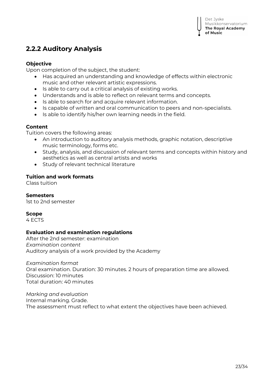### **2.2.2 Auditory Analysis**

#### **Objective**

Upon completion of the subject, the student:

- Has acquired an understanding and knowledge of effects within electronic music and other relevant artistic expressions.
- Is able to carry out a critical analysis of existing works.
- Understands and is able to reflect on relevant terms and concepts.
- Is able to search for and acquire relevant information.
- Is capable of written and oral communication to peers and non-specialists.
- Is able to identify his/her own learning needs in the field.

#### **Content**

Tuition covers the following areas:

- An introduction to auditory analysis methods, graphic notation, descriptive music terminology, forms etc.
- Study, analysis, and discussion of relevant terms and concepts within history and aesthetics as well as central artists and works
- Study of relevant technical literature

#### **Tuition and work formats**

Class tuition

#### **Semesters**

1st to 2nd semester

#### **Scope**

4 ECTS

#### **Evaluation and examination regulations**

After the 2nd semester: examination *Examination content* Auditory analysis of a work provided by the Academy

*Examination format* Oral examination. Duration: 30 minutes. 2 hours of preparation time are allowed. Discussion: 10 minutes Total duration: 40 minutes

*Marking and evaluation* Internal marking. Grade. The assessment must reflect to what extent the objectives have been achieved.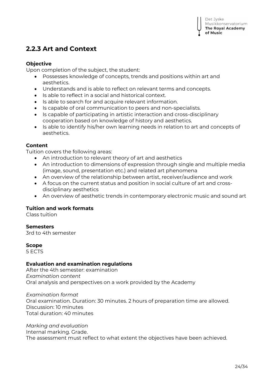### **2.2.3 Art and Context**

#### **Objective**

Upon completion of the subject, the student:

- Possesses knowledge of concepts, trends and positions within art and aesthetics.
- Understands and is able to reflect on relevant terms and concepts.
- Is able to reflect in a social and historical context.
- Is able to search for and acquire relevant information.
- **Is capable of oral communication to peers and non-specialists.**
- Is capable of participating in artistic interaction and cross-disciplinary cooperation based on knowledge of history and aesthetics.
- Is able to identify his/her own learning needs in relation to art and concepts of aesthetics.

#### **Content**

Tuition covers the following areas:

- An introduction to relevant theory of art and aesthetics
- An introduction to dimensions of expression through single and multiple media (image, sound, presentation etc.) and related art phenomena
- An overview of the relationship between artist, receiver/audience and work
- A focus on the current status and position in social culture of art and crossdisciplinary aesthetics
- An overview of aesthetic trends in contemporary electronic music and sound art

#### **Tuition and work formats**

Class tuition

#### **Semesters**

3rd to 4th semester

#### **Scope**

5 ECTS

#### **Evaluation and examination regulations**

After the 4th semester: examination *Examination content* Oral analysis and perspectives on a work provided by the Academy

*Examination format* Oral examination. Duration: 30 minutes. 2 hours of preparation time are allowed. Discussion: 10 minutes Total duration: 40 minutes

*Marking and evaluation* Internal marking. Grade. The assessment must reflect to what extent the objectives have been achieved.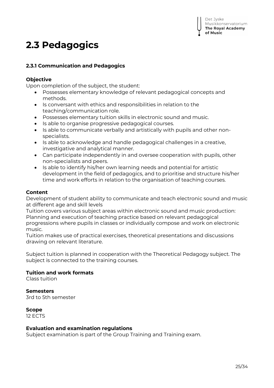## **2.3 Pedagogics**

#### **2.3.1 Communication and Pedagogics**

#### **Objective**

Upon completion of the subject, the student:

- Possesses elementary knowledge of relevant pedagogical concepts and methods.
- Is conversant with ethics and responsibilities in relation to the teaching/communication role.
- Possesses elementary tuition skills in electronic sound and music.
- Is able to organise progressive pedagogical courses.
- Is able to communicate verbally and artistically with pupils and other nonspecialists.
- Is able to acknowledge and handle pedagogical challenges in a creative, investigative and analytical manner.
- Can participate independently in and oversee cooperation with pupils, other non-specialists and peers.
- Is able to identify his/her own learning needs and potential for artistic development in the field of pedagogics, and to prioritise and structure his/her time and work efforts in relation to the organisation of teaching courses.

#### **Content**

Development of student ability to communicate and teach electronic sound and music at different age and skill levels

Tuition covers various subject areas within electronic sound and music production: Planning and execution of teaching practice based on relevant pedagogical progressions where pupils in classes or individually compose and work on electronic music.

Tuition makes use of practical exercises, theoretical presentations and discussions drawing on relevant literature.

Subject tuition is planned in cooperation with the Theoretical Pedagogy subject. The subject is connected to the training courses.

#### **Tuition and work formats**

Class tuition

#### **Semesters**

3rd to 5th semester

#### **Scope**

12 ECTS

#### **Evaluation and examination regulations**

Subject examination is part of the Group Training and Training exam.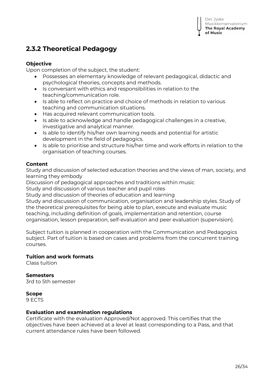### **2.3.2 Theoretical Pedagogy**

#### **Objective**

Upon completion of the subject, the student:

- Possesses an elementary knowledge of relevant pedagogical, didactic and psychological theories, concepts and methods.
- Is conversant with ethics and responsibilities in relation to the teaching/communication role.
- Is able to reflect on practice and choice of methods in relation to various teaching and communication situations.
- Has acquired relevant communication tools.
- Is able to acknowledge and handle pedagogical challenges in a creative, investigative and analytical manner.
- Is able to identify his/her own learning needs and potential for artistic development in the field of pedagogics.
- Is able to prioritise and structure his/her time and work efforts in relation to the organisation of teaching courses.

#### **Content**

Study and discussion of selected education theories and the views of man, society, and learning they embody

Discussion of pedagogical approaches and traditions within music

Study and discussion of various teacher and pupil roles

Study and discussion of theories of education and learning

Study and discussion of communication, organisation and leadership styles. Study of the theoretical prerequisites for being able to plan, execute and evaluate music teaching, including definition of goals, implementation and retention, course organisation, lesson preparation, self-evaluation and peer evaluation (supervision).

Subject tuition is planned in cooperation with the Communication and Pedagogics subject. Part of tuition is based on cases and problems from the concurrent training courses.

#### **Tuition and work formats**

Class tuition

#### **Semesters**

3rd to 5th semester

### **Scope**

9 ECTS

#### **Evaluation and examination regulations**

Certificate with the evaluation Approved/Not approved. This certifies that the objectives have been achieved at a level at least corresponding to a Pass, and that current attendance rules have been followed.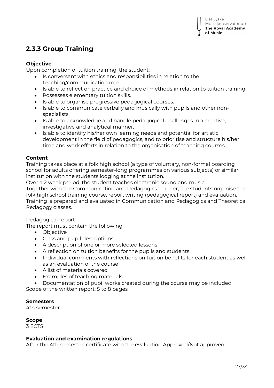## **2.3.3 Group Training**

#### **Objective**

Upon completion of tuition training, the student:

- **IS conversant with ethics and responsibilities in relation to the** teaching/communication role.
- Is able to reflect on practice and choice of methods in relation to tuition training.
- Possesses elementary tuition skills.
- Is able to organise progressive pedagogical courses.
- Is able to communicate verbally and musically with pupils and other nonspecialists.
- Is able to acknowledge and handle pedagogical challenges in a creative, investigative and analytical manner.
- Is able to identify his/her own learning needs and potential for artistic development in the field of pedagogics, and to prioritise and structure his/her time and work efforts in relation to the organisation of teaching courses.

#### **Content**

Training takes place at a folk high school (a type of voluntary, non-formal boarding school for adults offering semester-long programmes on various subjects) or similar institution with the students lodging at the institution.

Over a 2 week period, the student teaches electronic sound and music.

Together with the Communication and Pedagogics teacher, the students organise the folk high school training course, report writing (pedagogical report) and evaluation. Training is prepared and evaluated in Communication and Pedagogics and Theoretical Pedagogy classes.

Pedagogical report

The report must contain the following:

- Objective
- Class and pupil descriptions
- A description of one or more selected lessons
- A reflection on tuition benefits for the pupils and students
- Individual comments with reflections on tuition benefits for each student as well as an evaluation of the course
- A list of materials covered
- Examples of teaching materials
- Documentation of pupil works created during the course may be included.

Scope of the written report: 5 to 8 pages

#### **Semesters**

4th semester

**Scope** 3 ECTS

#### **Evaluation and examination regulations**

After the 4th semester: certificate with the evaluation Approved/Not approved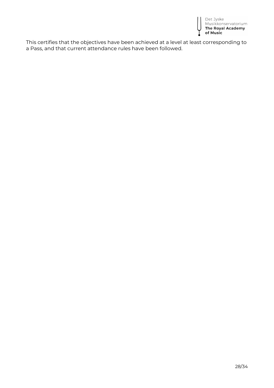

This certifies that the objectives have been achieved at a level at least corresponding to a Pass, and that current attendance rules have been followed.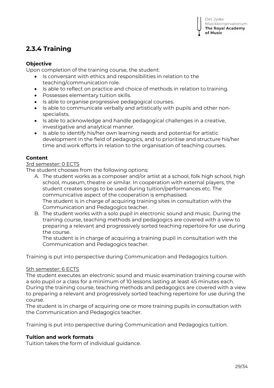## **2.3.4 Training**

#### **Objective**

Upon completion of the training course, the student:

- Is conversant with ethics and responsibilities in relation to the teaching/communication role.
- Is able to reflect on practice and choice of methods in relation to training.
- Possesses elementary tuition skills.
- Is able to organise progressive pedagogical courses.
- Is able to communicate verbally and artistically with pupils and other nonspecialists.
- Is able to acknowledge and handle pedagogical challenges in a creative, investigative and analytical manner.
- Is able to identify his/her own learning needs and potential for artistic development in the field of pedagogics, and to prioritise and structure his/her time and work efforts in relation to the organisation of teaching courses.

#### **Content**

#### 3rd semester: 0 ECTS

The student chooses from the following options:

- A. The student works as a composer and/or artist at a school, folk high school, high school, museum, theatre or similar. In cooperation with external players, the student creates songs to be used during tuition/performances etc. The communicative aspect of the cooperation is emphasised. The student is in charge of acquiring training sites in consultation with the Communication and Pedagogics teacher.
- B. The student works with a solo pupil in electronic sound and music. During the training course, teaching methods and pedagogics are covered with a view to preparing a relevant and progressively sorted teaching repertoire for use during the course.

The student is in charge of acquiring a training pupil in consultation with the Communication and Pedagogics teacher.

Training is put into perspective during Communication and Pedagogics tuition.

#### 5th semester: 6 ECTS

The student executes an electronic sound and music examination training course with a solo pupil or a class for a minimum of 10 lessons lasting at least 45 minutes each. During the training course, teaching methods and pedagogics are covered with a view to preparing a relevant and progressively sorted teaching repertoire for use during the course.

The student is in charge of acquiring one or more training pupils in consultation with the Communication and Pedagogics teacher.

Training is put into perspective during Communication and Pedagogics tuition.

#### **Tuition and work formats**

Tuition takes the form of individual guidance.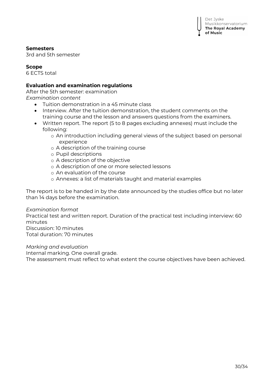

#### **Semesters**

3rd and 5th semester

#### **Scope**

6 ECTS total

#### **Evaluation and examination regulations**

After the 5th semester: examination *Examination content*

- Tuition demonstration in a 45 minute class
- Interview. After the tuition demonstration, the student comments on the training course and the lesson and answers questions from the examiners.
- Written report. The report (5 to 8 pages excluding annexes) must include the following:
	- o An introduction including general views of the subject based on personal experience
	- o A description of the training course
	- o Pupil descriptions
	- o A description of the objective
	- o A description of one or more selected lessons
	- o An evaluation of the course
	- o Annexes: a list of materials taught and material examples

The report is to be handed in by the date announced by the studies office but no later than 14 days before the examination.

#### *Examination format*

Practical test and written report. Duration of the practical test including interview: 60 minutes

Discussion: 10 minutes Total duration: 70 minutes

*Marking and evaluation*

Internal marking. One overall grade. The assessment must reflect to what extent the course objectives have been achieved.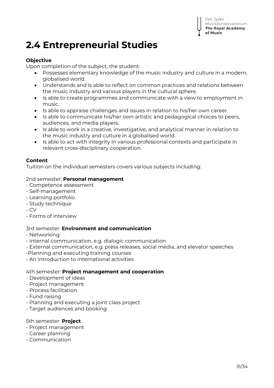## **2.4 Entrepreneurial Studies**

#### **Objective**

Upon completion of the subject, the student:

- Possesses elementary knowledge of the music industry and culture in a modern, globalised world.
- Understands and is able to reflect on common practices and relations between the music industry and various players in the cultural sphere.
- Is able to create programmes and communicate with a view to employment in music.
- Is able to appraise challenges and issues in relation to his/her own career.
- Is able to communicate his/her own artistic and pedagogical choices to peers, audiences, and media players.
- Is able to work in a creative, investigative, and analytical manner in relation to the music industry and culture in a globalised world.
- Is able to act with integrity in various professional contexts and participate in relevant cross-disciplinary cooperation.

#### **Content**

Tuition on the individual semesters covers various subjects including:

#### 2nd semester: **Personal management**

- Competence assessment
- Self-management
- Learning portfolio
- Study technique
- CV
- Forms of interview

#### 3rd semester: **Environment and communication**

- Networking
- Internal communication, e.g. dialogic communication
- External communication, e.g. press releases, social media, and elevator speeches
- -Planning and executing training courses
- An introduction to international activities

#### 4th semester: **Project management and cooperation**

- Development of ideas
- Project management
- Process facilitation
- Fund raising
- Planning and executing a joint class project
- Target audiences and booking

#### 5th semester: **Project**

- Project management
- Career planning
- Communication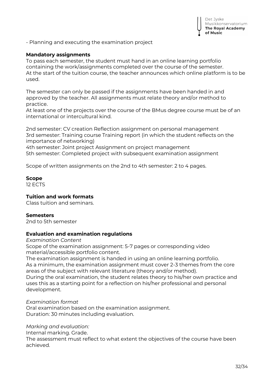

- Planning and executing the examination project

#### **Mandatory assignments**

To pass each semester, the student must hand in an online learning portfolio containing the work/assignments completed over the course of the semester. At the start of the tuition course, the teacher announces which online platform is to be used.

The semester can only be passed if the assignments have been handed in and approved by the teacher. All assignments must relate theory and/or method to practice.

At least one of the projects over the course of the BMus degree course must be of an international or intercultural kind.

2nd semester: CV creation Reflection assignment on personal management 3rd semester: Training course Training report (in which the student reflects on the importance of networking)

4th semester: Joint project Assignment on project management 5th semester: Completed project with subsequent examination assignment

Scope of written assignments on the 2nd to 4th semester: 2 to 4 pages.

#### **Scope**

12 ECTS

#### **Tuition and work formats**

Class tuition and seminars.

#### **Semesters**

2nd to 5th semester

#### **Evaluation and examination regulations**

*Examination Content*

Scope of the examination assignment: 5-7 pages or corresponding video material/accessible portfolio content.

The examination assignment is handed in using an online learning portfolio. As a minimum, the examination assignment must cover 2-3 themes from the core areas of the subject with relevant literature (theory and/or method).

During the oral examination, the student relates theory to his/her own practice and uses this as a starting point for a reflection on his/her professional and personal development.

#### *Examination format*

Oral examination based on the examination assignment. Duration: 30 minutes including evaluation.

#### *Marking and evaluation:*

Internal marking. Grade.

The assessment must reflect to what extent the objectives of the course have been achieved.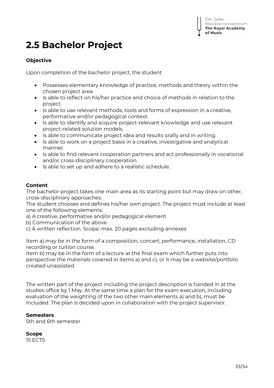

## **2.5 Bachelor Project**

#### **Objective**

Upon completion of the bachelor project, the student

- Possesses elementary knowledge of practice, methods and theory within the chosen project area.
- Is able to reflect on his/her practice and choice of methods in relation to the project.
- Is able to use relevant methods, tools and forms of expression in a creative, performative and/or pedagogical context.
- Is able to identify and acquire project-relevant knowledge and use relevant project-related solution models.
- Is able to communicate project idea and results orally and in writing.
- Is able to work on a project basis in a creative, investigative and analytical manner.
- Is able to find relevant cooperation partners and act professionally in vocational and/or cross-disciplinary cooperation.
- Is able to set up and adhere to a realistic schedule.

#### **Content**

The bachelor project takes one main area as its starting point but may draw on other, cross-disciplinary approaches.

The student chooses and defines his/her own project. The project must include at least one of the following elements:

a) A creative, performative and/or pedagogical element

- b) Communication of the above
- c) A written reflection. Scope: max. 20 pages excluding annexes

Item a) may be in the form of a composition, concert, performance, installation, CD recording or tuition course.

Item b) may be in the form of a lecture at the final exam which further puts into perspective the materials covered in items a) and c), or it may be a website/portfolio created unassisted.

The written part of the project including the project description is handed in at the studies office by 1 May. At the same time a plan for the exam execution, including evaluation of the weighting of the two other main elements a) and b), must be included. The plan is decided upon in collaboration with the project supervisor.

#### **Semesters**

5th and 6th semester

#### **Scope**

15 ECTS